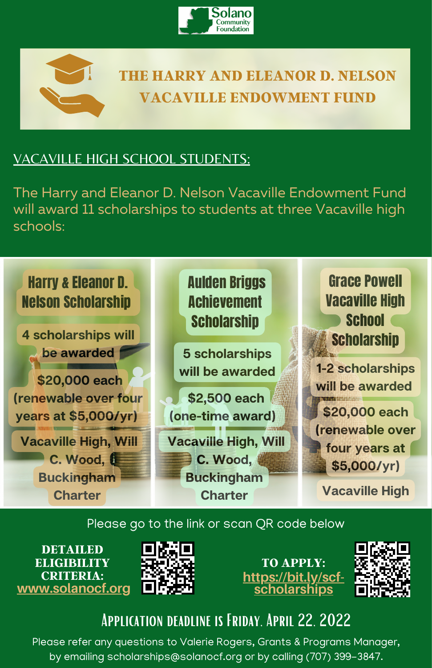



## **THE HARRY AND ELEANOR D. NELSON VACAVILLE ENDOWMENT FUND**

## VACAVILLE HIGH SCHOOL STUDENTS:

The Harry and Eleanor D. Nelson Vacaville Endowment Fund will award 11 scholarships to students at three Vacaville high schools:



#### Please go to the link or scan QR code below





**[https://bit.ly/scf](https://bit.ly/NelsonScholarships?fbclid=IwAR0meHrB9ofwKFEneYvD12d63I8NxI9_rk-Yeewwn-dbtYkLqe72BLKOHTU)scholarships TO APPLY:**



# Application deadline is Friday, April 22, 2022

Please refer any questions to Valerie Rogers, Grants & Programs Manager, by emailing scholarships@solanocf.org or by calling (707) 399-3847.